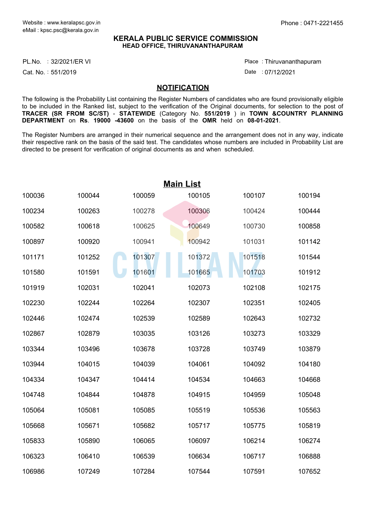## **KERALA PUBLIC SERVICE COMMISSION HEAD OFFICE, THIRUVANANTHAPURAM**

PL.No. :32/2021/ER VI Place Product and American product and Place Product and Place

Cat. No. 551/2019 :

Thiruvananthapuram :

Date : 07/12/2021

## **NOTIFICATION**

The following is the Probability List containing the Register Numbers of candidates who are found provisionally eligible to be included in the Ranked list, subject to the verification of the Original documents, for selection to the post of **TRACER (SR FROM SC/ST)** - **STATEWIDE** (Category No. **551/2019** ) in **TOWN &COUNTRY PLANNING DEPARTMENT** on **Rs**. **19000 -43600** on the basis of the **OMR** held on **08-01-2021**.

The Register Numbers are arranged in their numerical sequence and the arrangement does not in any way, indicate their respective rank on the basis of the said test. The candidates whose numbers are included in Probability List are directed to be present for verification of original documents as and when scheduled.

| <b>Main List</b> |        |        |        |        |        |  |  |  |
|------------------|--------|--------|--------|--------|--------|--|--|--|
| 100036           | 100044 | 100059 | 100105 | 100107 | 100194 |  |  |  |
| 100234           | 100263 | 100278 | 100306 | 100424 | 100444 |  |  |  |
| 100582           | 100618 | 100625 | 100649 | 100730 | 100858 |  |  |  |
| 100897           | 100920 | 100941 | 100942 | 101031 | 101142 |  |  |  |
| 101171           | 101252 | 101307 | 101372 | 101518 | 101544 |  |  |  |
| 101580           | 101591 | 101601 | 101665 | 101703 | 101912 |  |  |  |
| 101919           | 102031 | 102041 | 102073 | 102108 | 102175 |  |  |  |
| 102230           | 102244 | 102264 | 102307 | 102351 | 102405 |  |  |  |
| 102446           | 102474 | 102539 | 102589 | 102643 | 102732 |  |  |  |
| 102867           | 102879 | 103035 | 103126 | 103273 | 103329 |  |  |  |
| 103344           | 103496 | 103678 | 103728 | 103749 | 103879 |  |  |  |
| 103944           | 104015 | 104039 | 104061 | 104092 | 104180 |  |  |  |
| 104334           | 104347 | 104414 | 104534 | 104663 | 104668 |  |  |  |
| 104748           | 104844 | 104878 | 104915 | 104959 | 105048 |  |  |  |
| 105064           | 105081 | 105085 | 105519 | 105536 | 105563 |  |  |  |
| 105668           | 105671 | 105682 | 105717 | 105775 | 105819 |  |  |  |
| 105833           | 105890 | 106065 | 106097 | 106214 | 106274 |  |  |  |
| 106323           | 106410 | 106539 | 106634 | 106717 | 106888 |  |  |  |
| 106986           | 107249 | 107284 | 107544 | 107591 | 107652 |  |  |  |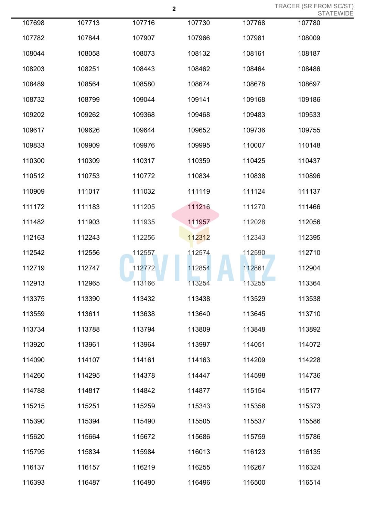TRACER (SR FROM SC/ST) STATEWIDE

|        |        |        |        |        | <b>SIAIE</b> |
|--------|--------|--------|--------|--------|--------------|
| 107698 | 107713 | 107716 | 107730 | 107768 | 107780       |
| 107782 | 107844 | 107907 | 107966 | 107981 | 108009       |
| 108044 | 108058 | 108073 | 108132 | 108161 | 108187       |
| 108203 | 108251 | 108443 | 108462 | 108464 | 108486       |
| 108489 | 108564 | 108580 | 108674 | 108678 | 108697       |
| 108732 | 108799 | 109044 | 109141 | 109168 | 109186       |
| 109202 | 109262 | 109368 | 109468 | 109483 | 109533       |
| 109617 | 109626 | 109644 | 109652 | 109736 | 109755       |
| 109833 | 109909 | 109976 | 109995 | 110007 | 110148       |
| 110300 | 110309 | 110317 | 110359 | 110425 | 110437       |
| 110512 | 110753 | 110772 | 110834 | 110838 | 110896       |
| 110909 | 111017 | 111032 | 111119 | 111124 | 111137       |
| 111172 | 111183 | 111205 | 111216 | 111270 | 111466       |
| 111482 | 111903 | 111935 | 111957 | 112028 | 112056       |
| 112163 | 112243 | 112256 | 112312 | 112343 | 112395       |
| 112542 | 112556 | 112557 | 112574 | 112590 | 112710       |
| 112719 | 112747 | 112772 | 112854 | 112861 | 112904       |
| 112913 | 112965 | 113166 | 113254 | 113255 | 113364       |
| 113375 | 113390 | 113432 | 113438 | 113529 | 113538       |
| 113559 | 113611 | 113638 | 113640 | 113645 | 113710       |
| 113734 | 113788 | 113794 | 113809 | 113848 | 113892       |
| 113920 | 113961 | 113964 | 113997 | 114051 | 114072       |
| 114090 | 114107 | 114161 | 114163 | 114209 | 114228       |
| 114260 | 114295 | 114378 | 114447 | 114598 | 114736       |
| 114788 | 114817 | 114842 | 114877 | 115154 | 115177       |
| 115215 | 115251 | 115259 | 115343 | 115358 | 115373       |
| 115390 | 115394 | 115490 | 115505 | 115537 | 115586       |
| 115620 | 115664 | 115672 | 115686 | 115759 | 115786       |
| 115795 | 115834 | 115984 | 116013 | 116123 | 116135       |
| 116137 | 116157 | 116219 | 116255 | 116267 | 116324       |
| 116393 | 116487 | 116490 | 116496 | 116500 | 116514       |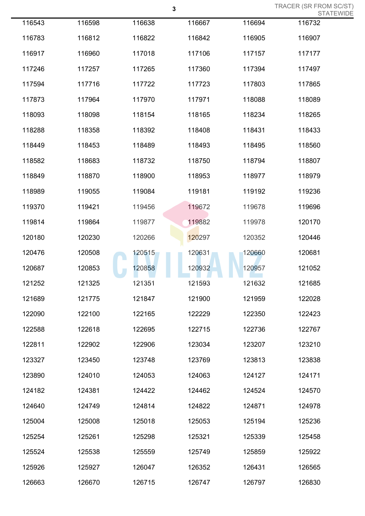|        | $\mathbf 3$ |        |        | TRACER (SR FROM SC/ST)<br><b>STATEWIDE</b> |        |  |
|--------|-------------|--------|--------|--------------------------------------------|--------|--|
| 116543 | 116598      | 116638 | 116667 | 116694                                     | 116732 |  |
| 116783 | 116812      | 116822 | 116842 | 116905                                     | 116907 |  |
| 116917 | 116960      | 117018 | 117106 | 117157                                     | 117177 |  |
| 117246 | 117257      | 117265 | 117360 | 117394                                     | 117497 |  |
| 117594 | 117716      | 117722 | 117723 | 117803                                     | 117865 |  |
| 117873 | 117964      | 117970 | 117971 | 118088                                     | 118089 |  |
| 118093 | 118098      | 118154 | 118165 | 118234                                     | 118265 |  |
| 118288 | 118358      | 118392 | 118408 | 118431                                     | 118433 |  |
| 118449 | 118453      | 118489 | 118493 | 118495                                     | 118560 |  |
| 118582 | 118683      | 118732 | 118750 | 118794                                     | 118807 |  |
| 118849 | 118870      | 118900 | 118953 | 118977                                     | 118979 |  |
| 118989 | 119055      | 119084 | 119181 | 119192                                     | 119236 |  |
| 119370 | 119421      | 119456 | 119672 | 119678                                     | 119696 |  |
| 119814 | 119864      | 119877 | 119882 | 119978                                     | 120170 |  |
| 120180 | 120230      | 120266 | 120297 | 120352                                     | 120446 |  |
| 120476 | 120508      | 120515 | 120631 | 120660                                     | 120681 |  |
| 120687 | 120853      | 120858 | 120932 | 120957                                     | 121052 |  |
| 121252 | 121325      | 121351 | 121593 | 121632                                     | 121685 |  |
| 121689 | 121775      | 121847 | 121900 | 121959                                     | 122028 |  |
| 122090 | 122100      | 122165 | 122229 | 122350                                     | 122423 |  |
| 122588 | 122618      | 122695 | 122715 | 122736                                     | 122767 |  |
| 122811 | 122902      | 122906 | 123034 | 123207                                     | 123210 |  |
| 123327 | 123450      | 123748 | 123769 | 123813                                     | 123838 |  |
| 123890 | 124010      | 124053 | 124063 | 124127                                     | 124171 |  |
| 124182 | 124381      | 124422 | 124462 | 124524                                     | 124570 |  |
| 124640 | 124749      | 124814 | 124822 | 124871                                     | 124978 |  |
| 125004 | 125008      | 125018 | 125053 | 125194                                     | 125236 |  |
| 125254 | 125261      | 125298 | 125321 | 125339                                     | 125458 |  |
| 125524 | 125538      | 125559 | 125749 | 125859                                     | 125922 |  |
| 125926 | 125927      | 126047 | 126352 | 126431                                     | 126565 |  |
| 126663 | 126670      | 126715 | 126747 | 126797                                     | 126830 |  |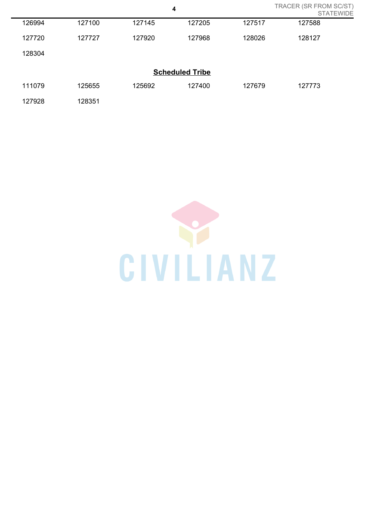| TRACER (SR FROM SC/ST)<br>4<br><b>STATEWIDE</b> |        |        |                        |        |        |  |  |
|-------------------------------------------------|--------|--------|------------------------|--------|--------|--|--|
| 126994                                          | 127100 | 127145 | 127205                 | 127517 | 127588 |  |  |
| 127720                                          | 127727 | 127920 | 127968                 | 128026 | 128127 |  |  |
| 128304                                          |        |        |                        |        |        |  |  |
|                                                 |        |        | <b>Scheduled Tribe</b> |        |        |  |  |
| 111079                                          | 125655 | 125692 | 127400                 | 127679 | 127773 |  |  |
| 127928                                          | 128351 |        |                        |        |        |  |  |